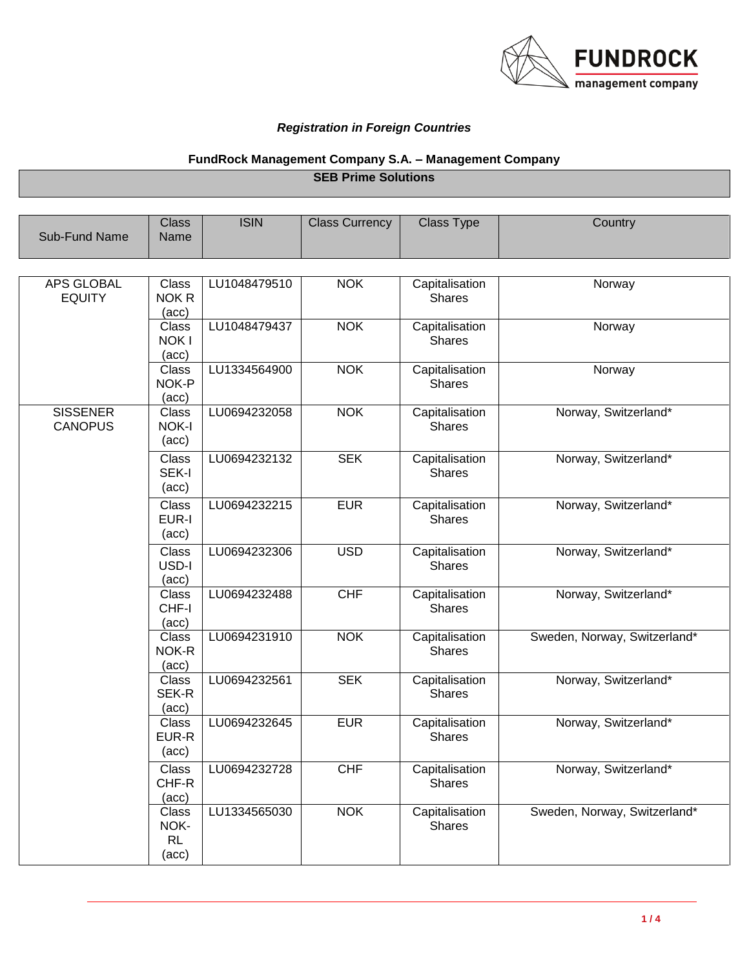

## *Registration in Foreign Countries*

## **FundRock Management Company S.A. – Management Company**

**SEB Prime Solutions**

| Sub-Fund Name                      | <b>Class</b><br>Name                       | <b>ISIN</b>  | <b>Class Currency</b> | <b>Class Type</b>               | Country                      |
|------------------------------------|--------------------------------------------|--------------|-----------------------|---------------------------------|------------------------------|
| <b>APS GLOBAL</b><br><b>EQUITY</b> | Class<br>NOK R<br>(acc)                    | LU1048479510 | <b>NOK</b>            | Capitalisation<br><b>Shares</b> | Norway                       |
|                                    | Class<br><b>NOKI</b><br>(acc)              | LU1048479437 | <b>NOK</b>            | Capitalisation<br><b>Shares</b> | Norway                       |
|                                    | Class<br>NOK-P<br>(acc)                    | LU1334564900 | <b>NOK</b>            | Capitalisation<br><b>Shares</b> | Norway                       |
| <b>SISSENER</b><br><b>CANOPUS</b>  | Class<br>NOK-I<br>$(\text{acc})$           | LU0694232058 | <b>NOK</b>            | Capitalisation<br><b>Shares</b> | Norway, Switzerland*         |
|                                    | Class<br>SEK-I<br>(acc)                    | LU0694232132 | <b>SEK</b>            | Capitalisation<br><b>Shares</b> | Norway, Switzerland*         |
|                                    | <b>Class</b><br>EUR-I<br>$(\text{acc})$    | LU0694232215 | <b>EUR</b>            | Capitalisation<br><b>Shares</b> | Norway, Switzerland*         |
|                                    | <b>Class</b><br>USD-I<br>(acc)             | LU0694232306 | <b>USD</b>            | Capitalisation<br><b>Shares</b> | Norway, Switzerland*         |
|                                    | Class<br>CHF-I<br>(acc)                    | LU0694232488 | CHF                   | Capitalisation<br><b>Shares</b> | Norway, Switzerland*         |
|                                    | Class<br>NOK-R<br>(acc)                    | LU0694231910 | <b>NOK</b>            | Capitalisation<br><b>Shares</b> | Sweden, Norway, Switzerland* |
|                                    | <b>Class</b><br>SEK-R<br>(acc)             | LU0694232561 | <b>SEK</b>            | Capitalisation<br><b>Shares</b> | Norway, Switzerland*         |
|                                    | <b>Class</b><br>EUR-R<br>$(\text{acc})$    | LU0694232645 | <b>EUR</b>            | Capitalisation<br><b>Shares</b> | Norway, Switzerland*         |
|                                    | Class<br>CHF-R<br>$(\text{acc})$           | LU0694232728 | <b>CHF</b>            | Capitalisation<br><b>Shares</b> | Norway, Switzerland*         |
|                                    | <b>Class</b><br>NOK-<br><b>RL</b><br>(acc) | LU1334565030 | <b>NOK</b>            | Capitalisation<br><b>Shares</b> | Sweden, Norway, Switzerland* |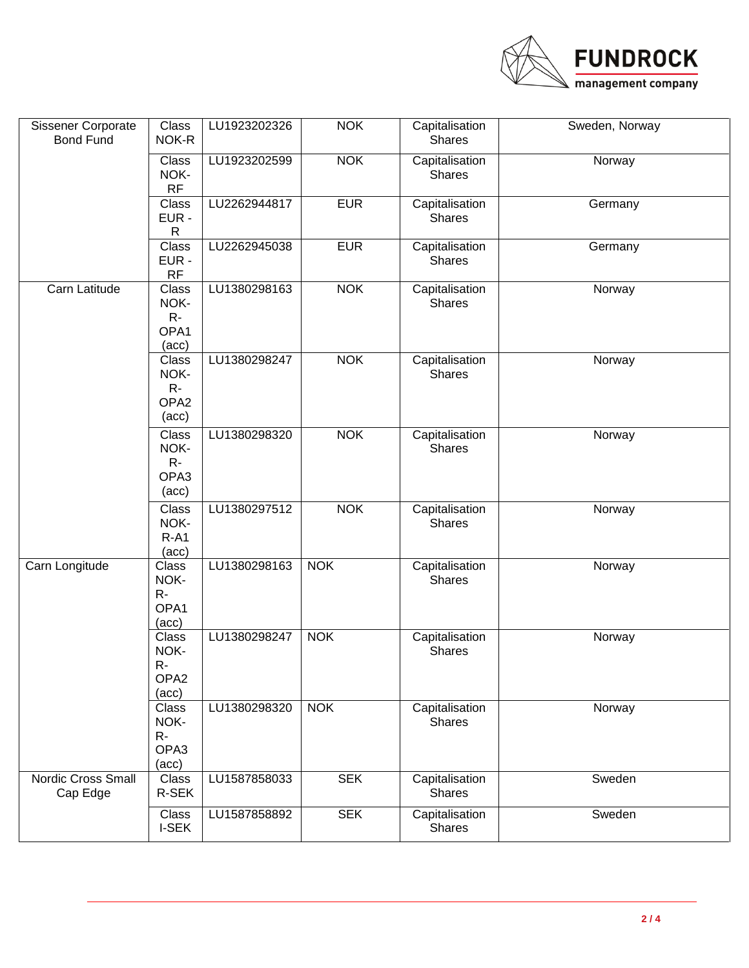

| Sissener Corporate<br><b>Bond Fund</b> | Class<br>NOK-R                                          | LU1923202326 | <b>NOK</b> | Capitalisation<br><b>Shares</b> | Sweden, Norway |
|----------------------------------------|---------------------------------------------------------|--------------|------------|---------------------------------|----------------|
|                                        | <b>Class</b><br>NOK-<br>RF                              | LU1923202599 | <b>NOK</b> | Capitalisation<br><b>Shares</b> | Norway         |
|                                        | Class<br>EUR -<br>$\mathsf R$                           | LU2262944817 | <b>EUR</b> | Capitalisation<br><b>Shares</b> | Germany        |
|                                        | <b>Class</b><br>EUR-<br><b>RF</b>                       | LU2262945038 | <b>EUR</b> | Capitalisation<br><b>Shares</b> | Germany        |
| Carn Latitude                          | Class<br>NOK-<br>$R-$<br>OPA1<br>(acc)                  | LU1380298163 | <b>NOK</b> | Capitalisation<br><b>Shares</b> | Norway         |
|                                        | Class<br>NOK-<br>$R -$<br>OPA <sub>2</sub><br>(acc)     | LU1380298247 | <b>NOK</b> | Capitalisation<br><b>Shares</b> | Norway         |
|                                        | Class<br>NOK-<br>$R -$<br>OPA3<br>(acc)                 | LU1380298320 | <b>NOK</b> | Capitalisation<br><b>Shares</b> | Norway         |
|                                        | <b>Class</b><br>NOK-<br>$R-A1$<br>$(\text{acc})$        | LU1380297512 | <b>NOK</b> | Capitalisation<br><b>Shares</b> | Norway         |
| Carn Longitude                         | Class<br>NOK-<br>$R-$<br>OPA1<br>(acc)                  | LU1380298163 | <b>NOK</b> | Capitalisation<br><b>Shares</b> | Norway         |
|                                        | Class<br>NOK-<br>$R -$<br>OPA <sub>2</sub><br>(acc)     | LU1380298247 | <b>NOK</b> | Capitalisation<br><b>Shares</b> | Norway         |
|                                        | <b>Class</b><br>NOK-<br>$R -$<br>OPA3<br>$(\text{acc})$ | LU1380298320 | <b>NOK</b> | Capitalisation<br><b>Shares</b> | Norway         |
| <b>Nordic Cross Small</b><br>Cap Edge  | Class<br>R-SEK                                          | LU1587858033 | <b>SEK</b> | Capitalisation<br>Shares        | Sweden         |
|                                        | Class<br>I-SEK                                          | LU1587858892 | <b>SEK</b> | Capitalisation<br><b>Shares</b> | Sweden         |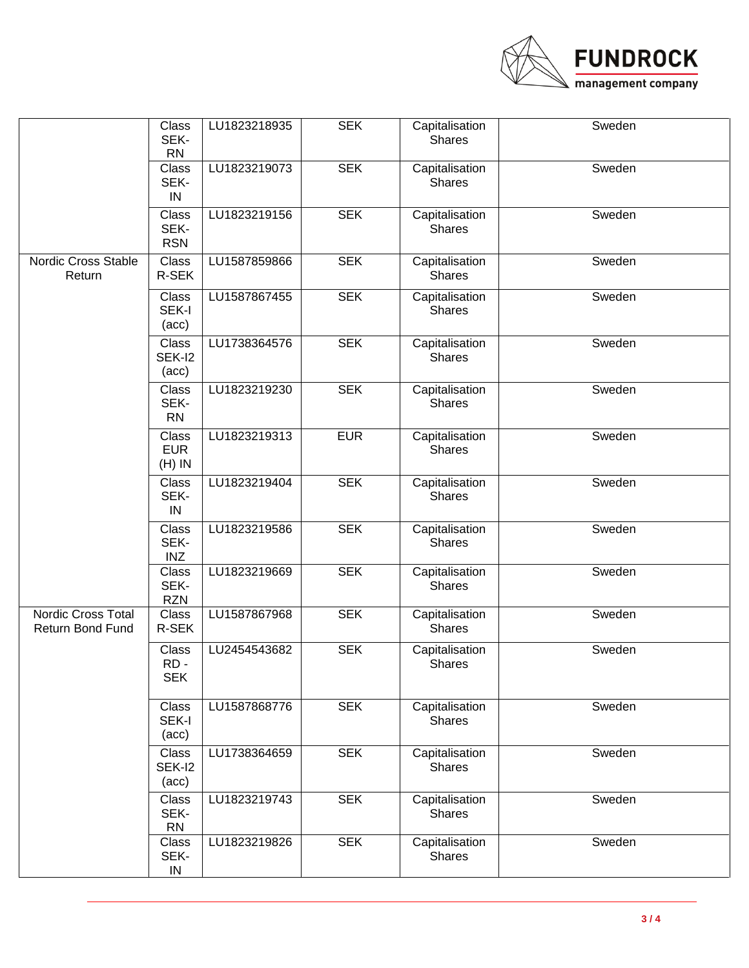

|                                        | Class<br>SEK-<br><b>RN</b>               | LU1823218935 | <b>SEK</b> | Capitalisation<br><b>Shares</b> | Sweden |
|----------------------------------------|------------------------------------------|--------------|------------|---------------------------------|--------|
|                                        | Class<br>SEK-<br>IN                      | LU1823219073 | <b>SEK</b> | Capitalisation<br><b>Shares</b> | Sweden |
|                                        | Class<br>SEK-<br><b>RSN</b>              | LU1823219156 | <b>SEK</b> | Capitalisation<br><b>Shares</b> | Sweden |
| Nordic Cross Stable<br>Return          | Class<br>R-SEK                           | LU1587859866 | <b>SEK</b> | Capitalisation<br><b>Shares</b> | Sweden |
|                                        | Class<br>SEK-I<br>$(\text{acc})$         | LU1587867455 | <b>SEK</b> | Capitalisation<br><b>Shares</b> | Sweden |
|                                        | <b>Class</b><br>SEK-I2<br>$(\text{acc})$ | LU1738364576 | <b>SEK</b> | Capitalisation<br><b>Shares</b> | Sweden |
|                                        | Class<br>SEK-<br><b>RN</b>               | LU1823219230 | <b>SEK</b> | Capitalisation<br><b>Shares</b> | Sweden |
|                                        | Class<br><b>EUR</b><br>$(H)$ IN          | LU1823219313 | <b>EUR</b> | Capitalisation<br><b>Shares</b> | Sweden |
|                                        | <b>Class</b><br>SEK-<br>IN               | LU1823219404 | <b>SEK</b> | Capitalisation<br>Shares        | Sweden |
|                                        | Class<br>SEK-<br>INZ                     | LU1823219586 | <b>SEK</b> | Capitalisation<br><b>Shares</b> | Sweden |
|                                        | Class<br>SEK-<br><b>RZN</b>              | LU1823219669 | <b>SEK</b> | Capitalisation<br>Shares        | Sweden |
| Nordic Cross Total<br>Return Bond Fund | <b>Class</b><br>R-SEK                    | LU1587867968 | <b>SEK</b> | Capitalisation<br>Shares        | Sweden |
|                                        | Class<br>RD-<br><b>SEK</b>               | LU2454543682 | <b>SEK</b> | Capitalisation<br><b>Shares</b> | Sweden |
|                                        | Class<br>SEK-I<br>(acc)                  | LU1587868776 | <b>SEK</b> | Capitalisation<br><b>Shares</b> | Sweden |
|                                        | Class<br>SEK-I2<br>(acc)                 | LU1738364659 | <b>SEK</b> | Capitalisation<br>Shares        | Sweden |
|                                        | Class<br>SEK-<br>RN                      | LU1823219743 | <b>SEK</b> | Capitalisation<br>Shares        | Sweden |
|                                        | Class<br>SEK-<br>IN                      | LU1823219826 | <b>SEK</b> | Capitalisation<br>Shares        | Sweden |